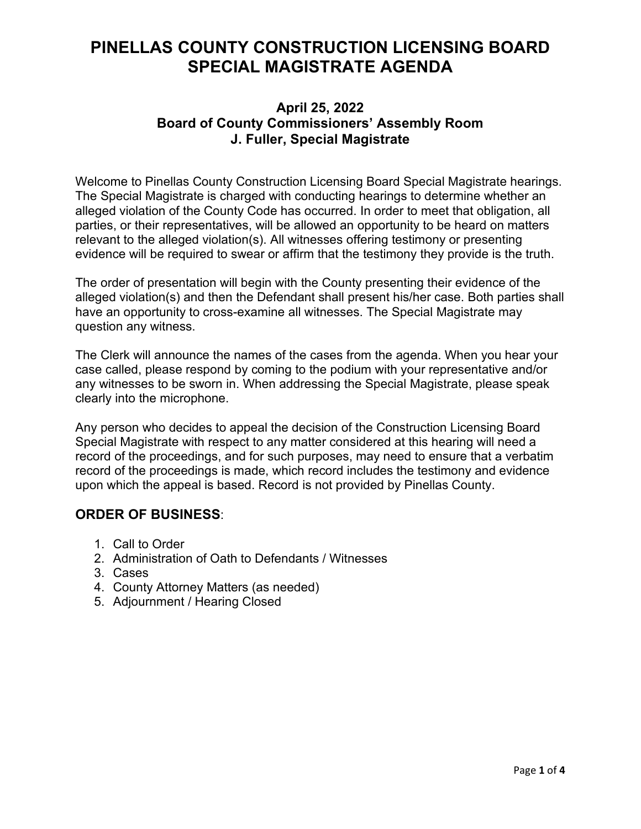# **PINELLAS COUNTY CONSTRUCTION LICENSING BOARD SPECIAL MAGISTRATE AGENDA**

## **April 25, 2022 Board of County Commissioners' Assembly Room J. Fuller, Special Magistrate**

Welcome to Pinellas County Construction Licensing Board Special Magistrate hearings. The Special Magistrate is charged with conducting hearings to determine whether an alleged violation of the County Code has occurred. In order to meet that obligation, all parties, or their representatives, will be allowed an opportunity to be heard on matters relevant to the alleged violation(s). All witnesses offering testimony or presenting evidence will be required to swear or affirm that the testimony they provide is the truth.

The order of presentation will begin with the County presenting their evidence of the alleged violation(s) and then the Defendant shall present his/her case. Both parties shall have an opportunity to cross-examine all witnesses. The Special Magistrate may question any witness.

The Clerk will announce the names of the cases from the agenda. When you hear your case called, please respond by coming to the podium with your representative and/or any witnesses to be sworn in. When addressing the Special Magistrate, please speak clearly into the microphone.

Any person who decides to appeal the decision of the Construction Licensing Board Special Magistrate with respect to any matter considered at this hearing will need a record of the proceedings, and for such purposes, may need to ensure that a verbatim record of the proceedings is made, which record includes the testimony and evidence upon which the appeal is based. Record is not provided by Pinellas County.

## **ORDER OF BUSINESS**:

- 1. Call to Order
- 2. Administration of Oath to Defendants / Witnesses
- 3. Cases
- 4. County Attorney Matters (as needed)
- 5. Adjournment / Hearing Closed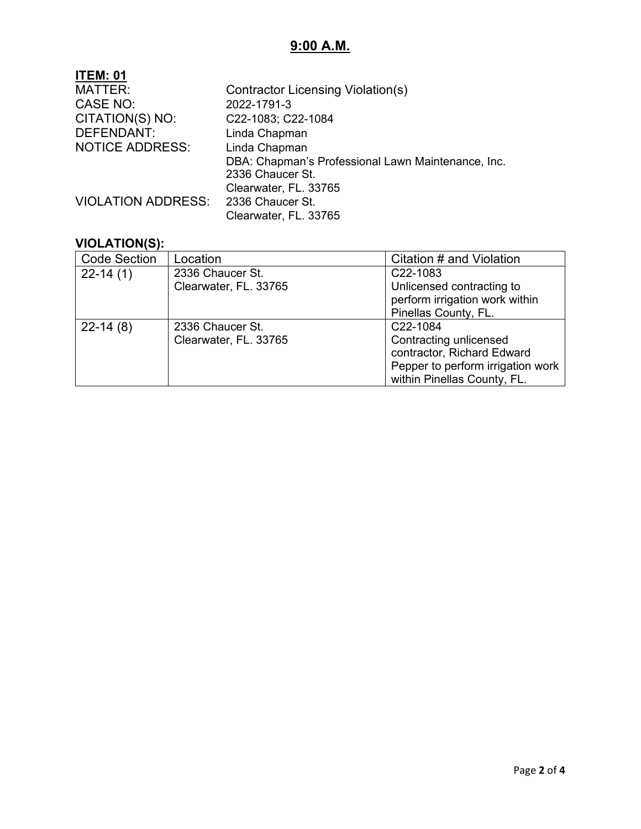# **9:00 A.M.**

| <b>ITEM: 01</b>           |                                                    |
|---------------------------|----------------------------------------------------|
| MATTER:                   | Contractor Licensing Violation(s)                  |
| CASE NO:                  | 2022-1791-3                                        |
| CITATION(S) NO:           | C22-1083; C22-1084                                 |
| <b>DEFENDANT:</b>         | Linda Chapman                                      |
| <b>NOTICE ADDRESS:</b>    | Linda Chapman                                      |
|                           | DBA: Chapman's Professional Lawn Maintenance, Inc. |
|                           | 2336 Chaucer St.                                   |
|                           | Clearwater, FL. 33765                              |
| <b>VIOLATION ADDRESS:</b> | 2336 Chaucer St.                                   |
|                           | Clearwater, FL. 33765                              |
|                           |                                                    |

#### **VIOLATION(S):**

| <b>Code Section</b> | Location              | Citation # and Violation          |
|---------------------|-----------------------|-----------------------------------|
| $22-14(1)$          | 2336 Chaucer St.      | C <sub>22</sub> -1083             |
|                     | Clearwater, FL. 33765 | Unlicensed contracting to         |
|                     |                       | perform irrigation work within    |
|                     |                       | Pinellas County, FL.              |
| $22-14(8)$          | 2336 Chaucer St.      | C22-1084                          |
|                     | Clearwater, FL. 33765 | Contracting unlicensed            |
|                     |                       | contractor, Richard Edward        |
|                     |                       | Pepper to perform irrigation work |
|                     |                       | within Pinellas County, FL.       |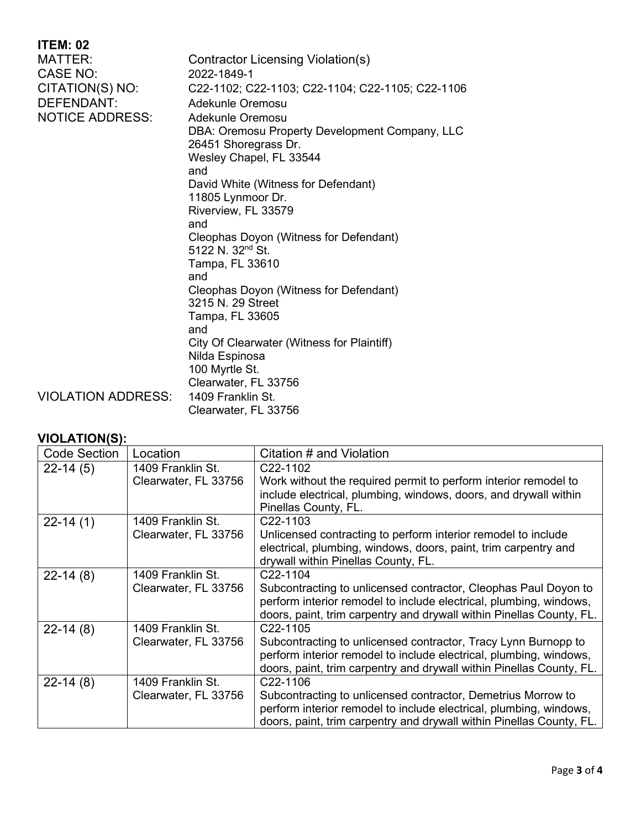| <b>ITEM: 02</b>           |                                                                        |  |
|---------------------------|------------------------------------------------------------------------|--|
| <b>MATTER:</b>            | Contractor Licensing Violation(s)                                      |  |
| <b>CASE NO:</b>           | 2022-1849-1                                                            |  |
| CITATION(S) NO:           | C22-1102; C22-1103; C22-1104; C22-1105; C22-1106                       |  |
| <b>DEFENDANT:</b>         | Adekunle Oremosu                                                       |  |
| <b>NOTICE ADDRESS:</b>    | Adekunle Oremosu                                                       |  |
|                           | DBA: Oremosu Property Development Company, LLC<br>26451 Shoregrass Dr. |  |
|                           | Wesley Chapel, FL 33544                                                |  |
|                           | and                                                                    |  |
|                           | David White (Witness for Defendant)                                    |  |
|                           | 11805 Lynmoor Dr.                                                      |  |
|                           | Riverview, FL 33579<br>and                                             |  |
|                           | Cleophas Doyon (Witness for Defendant)                                 |  |
|                           | 5122 N. 32 <sup>nd</sup> St.                                           |  |
|                           | Tampa, FL 33610                                                        |  |
|                           | and                                                                    |  |
|                           | Cleophas Doyon (Witness for Defendant)                                 |  |
|                           | 3215 N. 29 Street                                                      |  |
|                           | Tampa, FL 33605                                                        |  |
|                           | and                                                                    |  |
|                           | City Of Clearwater (Witness for Plaintiff)                             |  |
|                           | Nilda Espinosa                                                         |  |
|                           | 100 Myrtle St.<br>Clearwater, FL 33756                                 |  |
| <b>VIOLATION ADDRESS:</b> | 1409 Franklin St.                                                      |  |
|                           | Clearwater, FL 33756                                                   |  |
|                           |                                                                        |  |

#### **VIOLATION(S):**

| <b>Code Section</b> | Location                                  | Citation # and Violation                                                                                                                                                                                                  |
|---------------------|-------------------------------------------|---------------------------------------------------------------------------------------------------------------------------------------------------------------------------------------------------------------------------|
| $22-14(5)$          | 1409 Franklin St.<br>Clearwater, FL 33756 | C <sub>22</sub> -1102<br>Work without the required permit to perform interior remodel to<br>include electrical, plumbing, windows, doors, and drywall within<br>Pinellas County, FL.                                      |
| $22-14(1)$          | 1409 Franklin St.<br>Clearwater, FL 33756 | C22-1103<br>Unlicensed contracting to perform interior remodel to include<br>electrical, plumbing, windows, doors, paint, trim carpentry and<br>drywall within Pinellas County, FL.                                       |
| $22-14(8)$          | 1409 Franklin St.<br>Clearwater, FL 33756 | C22-1104<br>Subcontracting to unlicensed contractor, Cleophas Paul Doyon to<br>perform interior remodel to include electrical, plumbing, windows,<br>doors, paint, trim carpentry and drywall within Pinellas County, FL. |
| $22-14(8)$          | 1409 Franklin St.<br>Clearwater, FL 33756 | C22-1105<br>Subcontracting to unlicensed contractor, Tracy Lynn Burnopp to<br>perform interior remodel to include electrical, plumbing, windows,<br>doors, paint, trim carpentry and drywall within Pinellas County, FL.  |
| $22-14(8)$          | 1409 Franklin St.<br>Clearwater, FL 33756 | C22-1106<br>Subcontracting to unlicensed contractor, Demetrius Morrow to<br>perform interior remodel to include electrical, plumbing, windows,<br>doors, paint, trim carpentry and drywall within Pinellas County, FL.    |